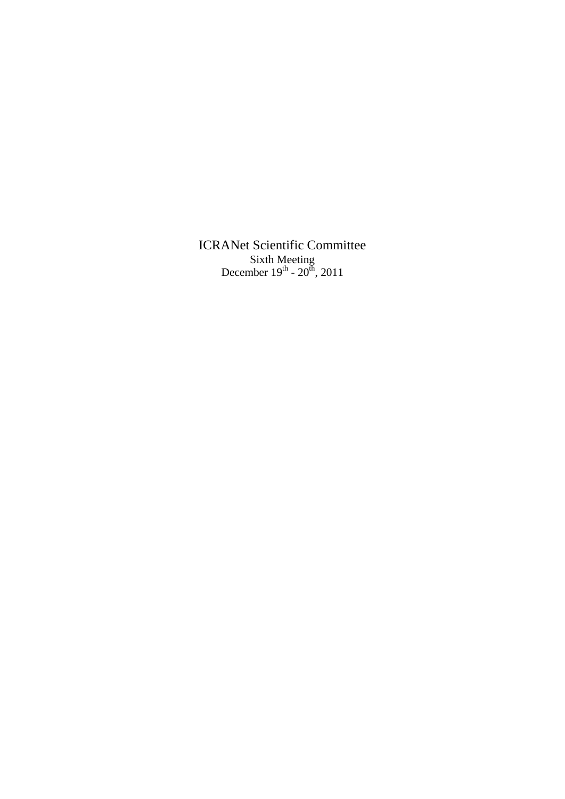ICRANet Scientific Committee Sixth Meeting December  $19^{th}$  -  $20^{th}$ , 2011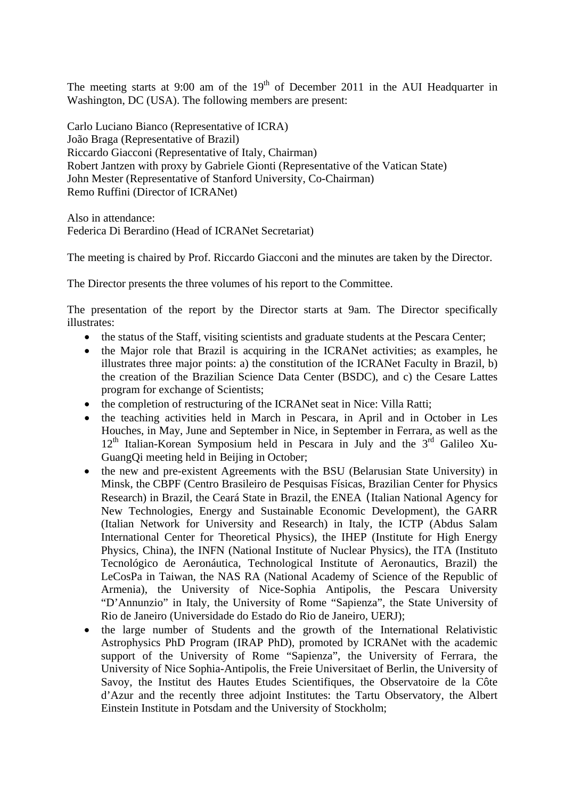The meeting starts at  $9:00$  am of the  $19<sup>th</sup>$  of December 2011 in the AUI Headquarter in Washington, DC (USA). The following members are present:

Carlo Luciano Bianco (Representative of ICRA) João Braga (Representative of Brazil) Riccardo Giacconi (Representative of Italy, Chairman) Robert Jantzen with proxy by Gabriele Gionti (Representative of the Vatican State) John Mester (Representative of Stanford University, Co-Chairman) Remo Ruffini (Director of ICRANet)

Also in attendance: Federica Di Berardino (Head of ICRANet Secretariat)

The meeting is chaired by Prof. Riccardo Giacconi and the minutes are taken by the Director.

The Director presents the three volumes of his report to the Committee.

The presentation of the report by the Director starts at 9am. The Director specifically illustrates:

- the status of the Staff, visiting scientists and graduate students at the Pescara Center;
- the Major role that Brazil is acquiring in the ICRANet activities; as examples, he illustrates three major points: a) the constitution of the ICRANet Faculty in Brazil, b) the creation of the Brazilian Science Data Center (BSDC), and c) the Cesare Lattes program for exchange of Scientists;
- the completion of restructuring of the ICRANet seat in Nice: Villa Ratti;
- the teaching activities held in March in Pescara, in April and in October in Les Houches, in May, June and September in Nice, in September in Ferrara, as well as the 12<sup>th</sup> Italian-Korean Symposium held in Pescara in July and the 3<sup>rd</sup> Galileo Xu-GuangQi meeting held in Beijing in October;
- the new and pre-existent Agreements with the BSU (Belarusian State University) in Minsk, the CBPF (Centro Brasileiro de Pesquisas Físicas, Brazilian Center for Physics Research) in Brazil, the Ceará State in Brazil, the ENEA ( Italian National Agency for New Technologies, Energy and Sustainable Economic Development), the GARR (Italian Network for University and Research) in Italy, the ICTP (Abdus Salam International Center for Theoretical Physics), the IHEP (Institute for High Energy Physics, China), the INFN (National Institute of Nuclear Physics), the ITA (Instituto Tecnológico de Aeronáutica, Technological Institute of Aeronautics, Brazil) the LeCosPa in Taiwan, the NAS RA (National Academy of Science of the Republic of Armenia), the University of Nice-Sophia Antipolis, the Pescara University "D'Annunzio" in Italy, the University of Rome "Sapienza", the State University of Rio de Janeiro (Universidade do Estado do Rio de Janeiro, UERJ);
- the large number of Students and the growth of the International Relativistic Astrophysics PhD Program (IRAP PhD), promoted by ICRANet with the academic support of the University of Rome "Sapienza", the University of Ferrara, the University of Nice Sophia-Antipolis, the Freie Universitaet of Berlin, the University of Savoy, the Institut des Hautes Etudes Scientifiques, the Observatoire de la Côte d'Azur and the recently three adjoint Institutes: the Tartu Observatory, the Albert Einstein Institute in Potsdam and the University of Stockholm;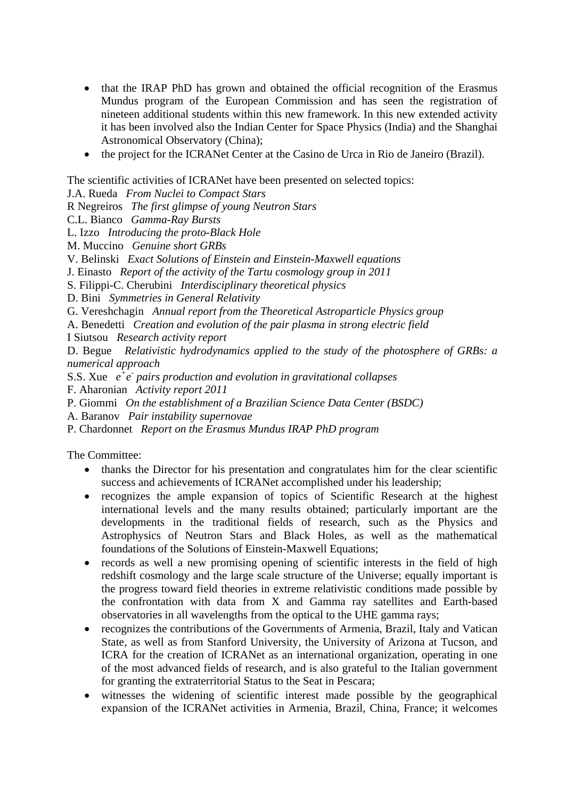- that the IRAP PhD has grown and obtained the official recognition of the Erasmus Mundus program of the European Commission and has seen the registration of nineteen additional students within this new framework. In this new extended activity it has been involved also the Indian Center for Space Physics (India) and the Shanghai Astronomical Observatory (China);
- the project for the ICRANet Center at the Casino de Urca in Rio de Janeiro (Brazil).

The scientific activities of ICRANet have been presented on selected topics:

J.A. Rueda *From Nuclei to Compact Stars*

R Negreiros *The first glimpse of young Neutron Stars*

C.L. Bianco *Gamma-Ray Bursts*

L. Izzo *Introducing the proto-Black Hole*

M. Muccino *Genuine short GRBs*

V. Belinski *Exact Solutions of Einstein and Einstein-Maxwell equations*

J. Einasto *Report of the activity of the Tartu cosmology group in 2011*

S. Filippi-C. Cherubini *Interdisciplinary theoretical physics*

D. Bini *Symmetries in General Relativity*

G. Vereshchagin *Annual report from the Theoretical Astroparticle Physics group*

A. Benedetti *Creation and evolution of the pair plasma in strong electric field*

I Siutsou *Research activity report*

D. Begue *Relativistic hydrodynamics applied to the study of the photosphere of GRBs: a numerical approach*

S.S. Xue  $e^+e^-$  pairs production and evolution in gravitational collapses

F. Aharonian *Activity report 2011*

P. Giommi *On the establishment of a Brazilian Science Data Center (BSDC)*

A. Baranov *Pair instability supernovae*

P. Chardonnet *Report on the Erasmus Mundus IRAP PhD program*

The Committee:

- thanks the Director for his presentation and congratulates him for the clear scientific success and achievements of ICRANet accomplished under his leadership;
- recognizes the ample expansion of topics of Scientific Research at the highest international levels and the many results obtained; particularly important are the developments in the traditional fields of research, such as the Physics and Astrophysics of Neutron Stars and Black Holes, as well as the mathematical foundations of the Solutions of Einstein-Maxwell Equations;
- records as well a new promising opening of scientific interests in the field of high redshift cosmology and the large scale structure of the Universe; equally important is the progress toward field theories in extreme relativistic conditions made possible by the confrontation with data from X and Gamma ray satellites and Earth-based observatories in all wavelengths from the optical to the UHE gamma rays;
- recognizes the contributions of the Governments of Armenia, Brazil, Italy and Vatican State, as well as from Stanford University, the University of Arizona at Tucson, and ICRA for the creation of ICRANet as an international organization, operating in one of the most advanced fields of research, and is also grateful to the Italian government for granting the extraterritorial Status to the Seat in Pescara;
- witnesses the widening of scientific interest made possible by the geographical expansion of the ICRANet activities in Armenia, Brazil, China, France; it welcomes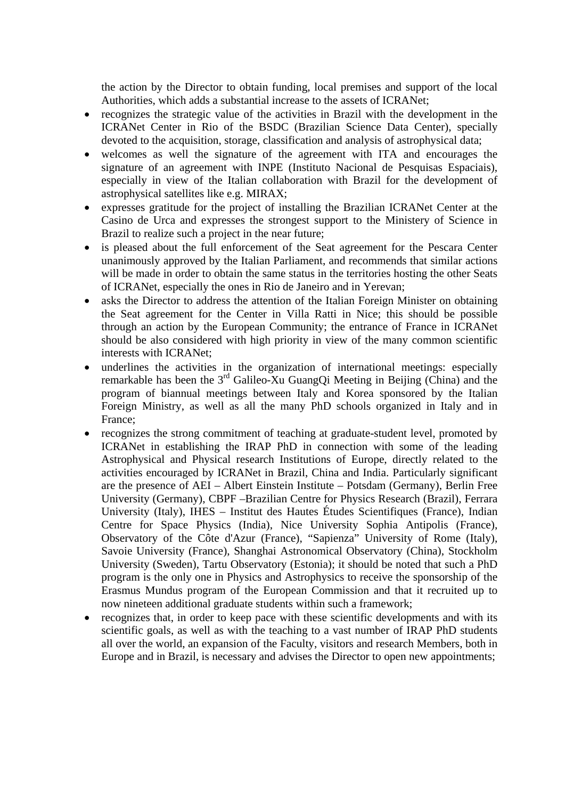the action by the Director to obtain funding, local premises and support of the local Authorities, which adds a substantial increase to the assets of ICRANet;

- recognizes the strategic value of the activities in Brazil with the development in the ICRANet Center in Rio of the BSDC (Brazilian Science Data Center), specially devoted to the acquisition, storage, classification and analysis of astrophysical data;
- welcomes as well the signature of the agreement with ITA and encourages the signature of an agreement with INPE (Instituto Nacional de Pesquisas Espaciais), especially in view of the Italian collaboration with Brazil for the development of astrophysical satellites like e.g. MIRAX;
- expresses gratitude for the project of installing the Brazilian ICRANet Center at the Casino de Urca and expresses the strongest support to the Ministery of Science in Brazil to realize such a project in the near future;
- is pleased about the full enforcement of the Seat agreement for the Pescara Center unanimously approved by the Italian Parliament, and recommends that similar actions will be made in order to obtain the same status in the territories hosting the other Seats of ICRANet, especially the ones in Rio de Janeiro and in Yerevan;
- asks the Director to address the attention of the Italian Foreign Minister on obtaining the Seat agreement for the Center in Villa Ratti in Nice; this should be possible through an action by the European Community; the entrance of France in ICRANet should be also considered with high priority in view of the many common scientific interests with ICRANet;
- underlines the activities in the organization of international meetings: especially remarkable has been the  $3<sup>rd</sup>$  Galileo-Xu GuangQi Meeting in Beijing (China) and the program of biannual meetings between Italy and Korea sponsored by the Italian Foreign Ministry, as well as all the many PhD schools organized in Italy and in France;
- recognizes the strong commitment of teaching at graduate-student level, promoted by ICRANet in establishing the IRAP PhD in connection with some of the leading Astrophysical and Physical research Institutions of Europe, directly related to the activities encouraged by ICRANet in Brazil, China and India. Particularly significant are the presence of AEI – Albert Einstein Institute – Potsdam (Germany), Berlin Free University (Germany), CBPF –Brazilian Centre for Physics Research (Brazil), Ferrara University (Italy), IHES – Institut des Hautes Études Scientifiques (France), Indian Centre for Space Physics (India), Nice University Sophia Antipolis (France), Observatory of the Côte d'Azur (France), "Sapienza" University of Rome (Italy), Savoie University (France), Shanghai Astronomical Observatory (China), Stockholm University (Sweden), Tartu Observatory (Estonia); it should be noted that such a PhD program is the only one in Physics and Astrophysics to receive the sponsorship of the Erasmus Mundus program of the European Commission and that it recruited up to now nineteen additional graduate students within such a framework;
- recognizes that, in order to keep pace with these scientific developments and with its scientific goals, as well as with the teaching to a vast number of IRAP PhD students all over the world, an expansion of the Faculty, visitors and research Members, both in Europe and in Brazil, is necessary and advises the Director to open new appointments;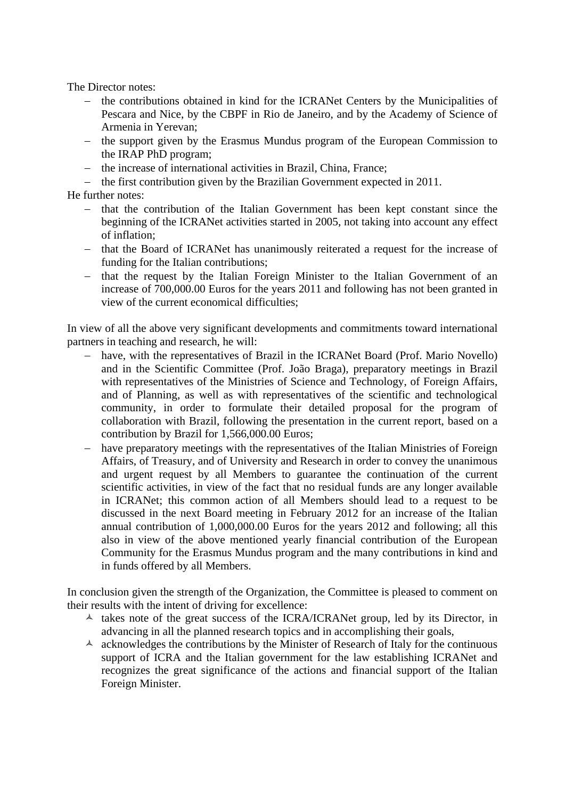The Director notes:

- − the contributions obtained in kind for the ICRANet Centers by the Municipalities of Pescara and Nice, by the CBPF in Rio de Janeiro, and by the Academy of Science of Armenia in Yerevan;
- − the support given by the Erasmus Mundus program of the European Commission to the IRAP PhD program;
- − the increase of international activities in Brazil, China, France;
- − the first contribution given by the Brazilian Government expected in 2011.

He further notes:

- − that the contribution of the Italian Government has been kept constant since the beginning of the ICRANet activities started in 2005, not taking into account any effect of inflation;
- − that the Board of ICRANet has unanimously reiterated a request for the increase of funding for the Italian contributions;
- − that the request by the Italian Foreign Minister to the Italian Government of an increase of 700,000.00 Euros for the years 2011 and following has not been granted in view of the current economical difficulties;

In view of all the above very significant developments and commitments toward international partners in teaching and research, he will:

- − have, with the representatives of Brazil in the ICRANet Board (Prof. Mario Novello) and in the Scientific Committee (Prof. João Braga), preparatory meetings in Brazil with representatives of the Ministries of Science and Technology, of Foreign Affairs, and of Planning, as well as with representatives of the scientific and technological community, in order to formulate their detailed proposal for the program of collaboration with Brazil, following the presentation in the current report, based on a contribution by Brazil for 1,566,000.00 Euros;
- − have preparatory meetings with the representatives of the Italian Ministries of Foreign Affairs, of Treasury, and of University and Research in order to convey the unanimous and urgent request by all Members to guarantee the continuation of the current scientific activities, in view of the fact that no residual funds are any longer available in ICRANet; this common action of all Members should lead to a request to be discussed in the next Board meeting in February 2012 for an increase of the Italian annual contribution of 1,000,000.00 Euros for the years 2012 and following; all this also in view of the above mentioned yearly financial contribution of the European Community for the Erasmus Mundus program and the many contributions in kind and in funds offered by all Members.

In conclusion given the strength of the Organization, the Committee is pleased to comment on their results with the intent of driving for excellence:

- $\lambda$  takes note of the great success of the ICRA/ICRANet group, led by its Director, in advancing in all the planned research topics and in accomplishing their goals,
- $\lambda$  acknowledges the contributions by the Minister of Research of Italy for the continuous support of ICRA and the Italian government for the law establishing ICRANet and recognizes the great significance of the actions and financial support of the Italian Foreign Minister.